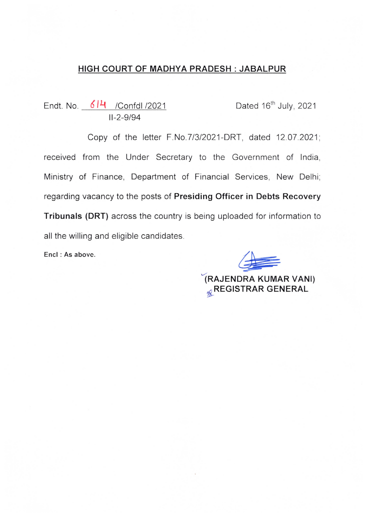# HIGH COURT OF MADHYA PRADESH : JABALPUR

Endt. No. 6H /Confdl /2021 Dated 16<sup>th</sup> July, 2021 11-2-9/94

Copy of the letter F.No.7/3/2021-DRT, dated 12.07.2021; received from the Under Secretary to the Government of India, Ministry of Finance, Department of Financial Services, New Delhi; regarding vacancy to the posts of Presiding Officer in Debts Recovery Tribunals (DRT) across the country is being uploaded for information to all the willing and eligible candidates.

Encl : As above.

 $\sqrt{2}$ 

iRAJENDRA KUMAR VANI) **& REGISTRAR GENERAL**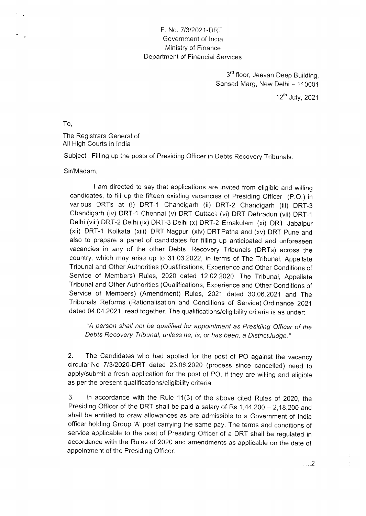### F. No. 7/3/2021-DRT Government of India Ministry of Finance Department of Financial Services

3rd floor, Jeevan Deep Building. Sansad Marg, New Delhi - 110001

12"` July, 2021

TO,

The Registrars General of All High Courts in India

Subject : Filling up the posts of Presiding Officer in Debts Recovery Tribunals.

#### Sir/Madam,

I am directed to say that applications are invited from eligible and willing candidates, to fill up the fifteen existing vacancies of Presiding Officer (P.O,) in various DRTs at (i) DRT-1 Chandigarh (ii) DRT-2 Chandigarh (iii) DRT-3 Chandigarh (iv) DRT-1 Chennai (v) DRT Cuttack (vi) DRT Dehradun (vii) DRT-1 Delhi (viii) DRT-2 Delhi (ix) DRT-3 Delhi (x) DRT-2 Ernakulam (xi) DRT Jabalpur (xii) DRT-1 Kolkata (xiii) DRT Nagpur (xiv) DRTPatna and (xv) DRT Pune and also to prepare a panel of candidates for filling up anticipated and unforeseen vacancies in any of the other Debts Recovery Tribunals (DRTs) across the country, which may arise up to 31.03.2022, in terms of The Tribunal, Appellate Tribunal and Other Authorities (Qualifications, Experience and Other Conditions of Service of Members) Rules, 2020 dated 12,02.2020, The Tribunal, Appellate Tribunal and Other Authorities (Qualifications, Experience and Other Conditions of Service of Members) (Amendment) Rules, 2021 dated 30.06.2021 and The Tribunals Reforms (Rationalisation and Conditions of Service) Ordinance 2021 dated 04.04.2021, read together. The qualifications/eligibility criteria is as under:

"A person shall not be qualified for appointment as Presiding Officer of the Debts Recovery Tribunal, unless he, is, or has been, a DistrictJudge."

2. The Candidates who had applied for the post of PO against the vacancy circular No 7/3/2020-DRT dated 23.06.2020 (process since cancelled) need to apply/submit a fresh application for the post of PO, if they are willing and eligible as per the present qualifications/eligibility criteria.

3. In accordance with the Rule 11(3) of the above cited Rules of 2020, the Presiding Officer of the DRT shall be paid a salary of  $Rs.1,44,200 - 2,18,200$  and shall be entitled to draw allowances as are admissible to a Government of India officer holding Group 'A' post carrying the same pay. The terms and conditions of service applicable to the post of Presiding Officer of a DRT shall be regulated in accordance with the Rules of 2020 and amendments as applicable on the date of appointment of the Presiding Officer.

.... 2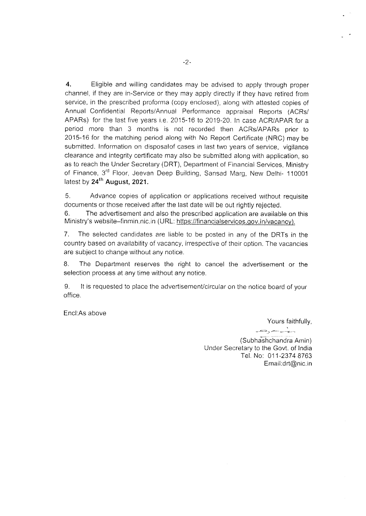4. Eligible and willing candidates may be advised to apply through proper channel. if they are in-Service or they may apply directly if they have retired from service, in the prescribed proforma (copy enclosed), along with attested copies of Annual Confidential Reports/Annual Performance appraisal Reports (ACRs/ APARs) for the last five years i.e. 2015-16 to 2019-20. In case ACR/APAR for a period more than 3 months is not recorded then ACRs/APARs prior to 2015-16 for the matching period along with No Report Certificate (NRC) may be submitted. Information on disposalof cases in last two years of service, vigilance clearance and integrity certificate may also be submitted along with application, so as to reach the Under Secretary (DRT), Department of Financial Services, Ministry of Finance, 3<sup>rd</sup> Floor, Jeevan Deep Building, Sansad Marg, New Delhi- 110001 latest by  $24^{th}$  August, 2021.

5. Advance copies of application or applications received without requisite documents or those received after the last date will be out rightly rejected.

6. The advertisement and also the prescribed application are available on this Ministry's website-finmin.nic.in (URL: https://financialservices.gov.in/vacancy).

7. The selected candidates are liable to be posted in any of the DRTs in the country based on availability of vacancy, irrespective of their option. The vacancies are subject to change without any notice.

8. The Department reserves the right to cancel the advertisement or the selection process at any time without any notice.

9. It is requested to place the aclvertisement/circular on the notice board of your office.

Encl:As above

Yours faithfully,

\ \_ .aJ\*,> c#-\ gfpr^-ms .I "

(Subhashchandra Amin) lJnder Secretary to the Govt. of India Tel. No: 011-2374 8763 Email:drt@nic.in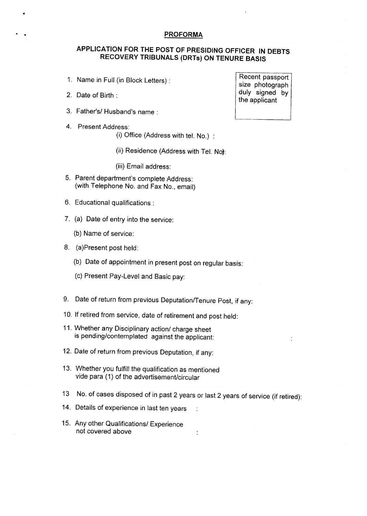#### PROFORMA

### APPLICATION FOR THE POST OF PRESIDING OFFICER IN DEBTS RECOVERY TRIBUNALS (DRTs) ON TENURE BASIS

- 1. Name in Full (in Block Letters) :
- 2. Date of Birth :
- 3. Father's/ Husband's name :
- 4. Present Address:
	- (i) Office (Address with tel. No.) :
	- (ii) Residence (Address with Tel. No}:
	- (iii) Email address:
- 5. Parent department's complete Address: (with Telephone No. and Fax No., email)
- 6. Educational qualifications :
- 7. (a) Date of entry into the service:
	- (b) Name of service:
- 8. (a)Present post held:
	- (b) Date of appointment in present post on regular basis:
	- (c) Present Pay~Level and Basic pay:
- 9. Date of return from previous Deputation/Tenure Post, if any:
- 10. If retired from service, date of retirement and post held:
- 11. Whether any Disciplinary action/ charge sheet is pending/contemplated against the applicant:
- 12. Date of return from previous Deputation, if any:
- 13. Whether you fulfill the qualification as mentioned vide para (1) of the advertisement/circular
- 13 No. of cases disposed of in past 2 years or last 2 years of service (if retired):

 $\ddot{\cdot}$ 

- 14. Details of experience in last ten years  $\ddot{\phantom{a}}$
- 15. Any other Qualifications/ Experience not covered above

Recent passport size photograph duly signed by the applicant

 $\ddot{\cdot}$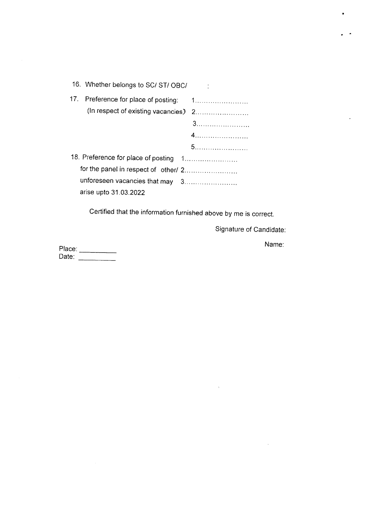|                                       | 16. Whether belongs to SC/ ST/ OBC/  |  |
|---------------------------------------|--------------------------------------|--|
|                                       |                                      |  |
|                                       | (In respect of existing vacancies) 2 |  |
|                                       |                                      |  |
|                                       |                                      |  |
|                                       |                                      |  |
| 18. Preference for place of posting 1 |                                      |  |
|                                       |                                      |  |
|                                       | unforeseen vacancies that may 3      |  |
|                                       | arise upto 31.03.2022                |  |

Certified that the information furnished above by me is correct.

Signature of Candidate:

 $\bar{\lambda}$ 

Place: Date:

Name:

 $\mathcal{A}^{\mathcal{A}}$ 

÷.